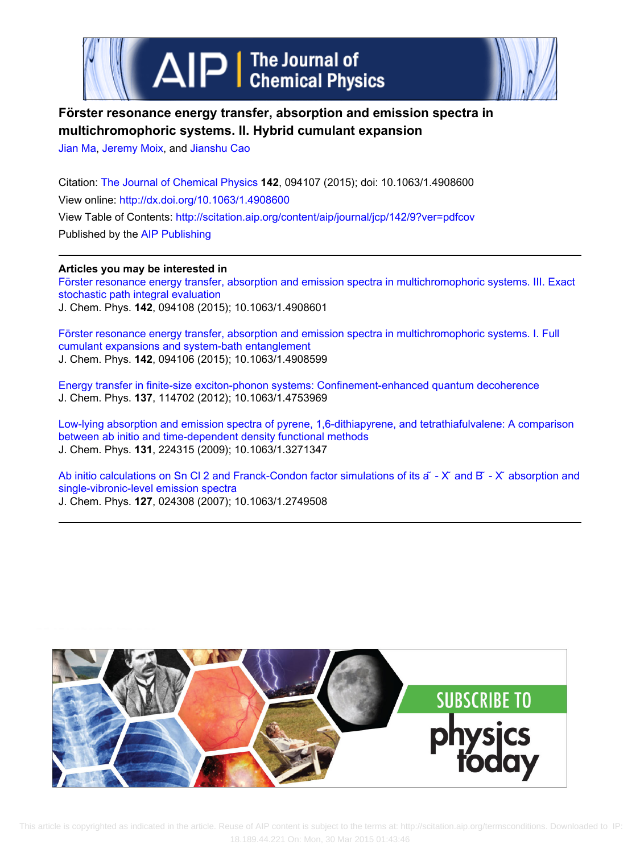



# **Förster resonance energy transfer, absorption and emission spectra in multichromophoric systems. II. Hybrid cumulant expansion**

[Jian Ma](http://scitation.aip.org/search?value1=Jian+Ma&option1=author), [Jeremy Moix,](http://scitation.aip.org/search?value1=Jeremy+Moix&option1=author) and [Jianshu Cao](http://scitation.aip.org/search?value1=Jianshu+Cao&option1=author)

Citation: [The Journal of Chemical Physics](http://scitation.aip.org/content/aip/journal/jcp?ver=pdfcov) **142**, 094107 (2015); doi: 10.1063/1.4908600 View online: <http://dx.doi.org/10.1063/1.4908600> View Table of Contents:<http://scitation.aip.org/content/aip/journal/jcp/142/9?ver=pdfcov> Published by the [AIP Publishing](http://scitation.aip.org/content/aip?ver=pdfcov)

**Articles you may be interested in** [Förster resonance energy transfer, absorption and emission spectra in multichromophoric systems. III. Exact](http://scitation.aip.org/content/aip/journal/jcp/142/9/10.1063/1.4908601?ver=pdfcov) [stochastic path integral evaluation](http://scitation.aip.org/content/aip/journal/jcp/142/9/10.1063/1.4908601?ver=pdfcov) J. Chem. Phys. **142**, 094108 (2015); 10.1063/1.4908601

[Förster resonance energy transfer, absorption and emission spectra in multichromophoric systems. I. Full](http://scitation.aip.org/content/aip/journal/jcp/142/9/10.1063/1.4908599?ver=pdfcov) [cumulant expansions and system-bath entanglement](http://scitation.aip.org/content/aip/journal/jcp/142/9/10.1063/1.4908599?ver=pdfcov) J. Chem. Phys. **142**, 094106 (2015); 10.1063/1.4908599

[Energy transfer in finite-size exciton-phonon systems: Confinement-enhanced quantum decoherence](http://scitation.aip.org/content/aip/journal/jcp/137/11/10.1063/1.4753969?ver=pdfcov) J. Chem. Phys. **137**, 114702 (2012); 10.1063/1.4753969

[Low-lying absorption and emission spectra of pyrene, 1,6-dithiapyrene, and tetrathiafulvalene: A comparison](http://scitation.aip.org/content/aip/journal/jcp/131/22/10.1063/1.3271347?ver=pdfcov) [between ab initio and time-dependent density functional methods](http://scitation.aip.org/content/aip/journal/jcp/131/22/10.1063/1.3271347?ver=pdfcov) J. Chem. Phys. **131**, 224315 (2009); 10.1063/1.3271347

Ab initio calculations on Sn Cl 2 and Franck-Condon factor simulations of its  $\tilde{a}$  - X  $\tilde{a}$  and  $B^r$  - X absorption and [single-vibronic-level emission spectra](http://scitation.aip.org/content/aip/journal/jcp/127/2/10.1063/1.2749508?ver=pdfcov) J. Chem. Phys. **127**, 024308 (2007); 10.1063/1.2749508

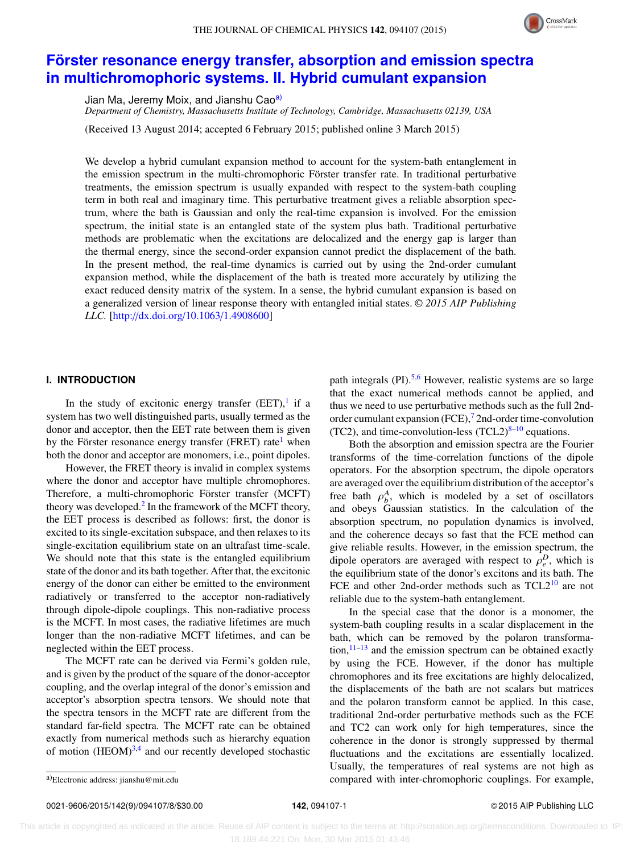

## **[Förster resonance energy transfer, absorption and emission spectra](http://dx.doi.org/10.1063/1.4908600) [in multichromophoric systems. II. Hybrid cumulant expansion](http://dx.doi.org/10.1063/1.4908600)**

Jian Ma, Jeremy Moix, and Jianshu Cao<sup>[a\)](#page-1-0)</sup>

*Department of Chemistry, Massachusetts Institute of Technology, Cambridge, Massachusetts 02139, USA*

(Received 13 August 2014; accepted 6 February 2015; published online 3 March 2015)

We develop a hybrid cumulant expansion method to account for the system-bath entanglement in the emission spectrum in the multi-chromophoric Förster transfer rate. In traditional perturbative treatments, the emission spectrum is usually expanded with respect to the system-bath coupling term in both real and imaginary time. This perturbative treatment gives a reliable absorption spectrum, where the bath is Gaussian and only the real-time expansion is involved. For the emission spectrum, the initial state is an entangled state of the system plus bath. Traditional perturbative methods are problematic when the excitations are delocalized and the energy gap is larger than the thermal energy, since the second-order expansion cannot predict the displacement of the bath. In the present method, the real-time dynamics is carried out by using the 2nd-order cumulant expansion method, while the displacement of the bath is treated more accurately by utilizing the exact reduced density matrix of the system. In a sense, the hybrid cumulant expansion is based on a generalized version of linear response theory with entangled initial states. <sup>C</sup> *2015 AIP Publishing LLC.* [\[http:](http://dx.doi.org/10.1063/1.4908600)//[dx.doi.org](http://dx.doi.org/10.1063/1.4908600)/[10.1063](http://dx.doi.org/10.1063/1.4908600)/[1.4908600\]](http://dx.doi.org/10.1063/1.4908600)

### **I. INTRODUCTION**

In the study of excitonic energy transfer  $(EET)$ , if a system has two well distinguished parts, usually termed as the donor and acceptor, then the EET rate between them is given by the Förster resonance energy transfer (FRET) rate<sup>[1](#page-8-0)</sup> when both the donor and acceptor are monomers, i.e., point dipoles.

However, the FRET theory is invalid in complex systems where the donor and acceptor have multiple chromophores. Therefore, a multi-chromophoric Förster transfer (MCFT) theory was developed.<sup>[2](#page-8-1)</sup> In the framework of the MCFT theory, the EET process is described as follows: first, the donor is excited to its single-excitation subspace, and then relaxes to its single-excitation equilibrium state on an ultrafast time-scale. We should note that this state is the entangled equilibrium state of the donor and its bath together. After that, the excitonic energy of the donor can either be emitted to the environment radiatively or transferred to the acceptor non-radiatively through dipole-dipole couplings. This non-radiative process is the MCFT. In most cases, the radiative lifetimes are much longer than the non-radiative MCFT lifetimes, and can be neglected within the EET process.

The MCFT rate can be derived via Fermi's golden rule, and is given by the product of the square of the donor-acceptor coupling, and the overlap integral of the donor's emission and acceptor's absorption spectra tensors. We should note that the spectra tensors in the MCFT rate are different from the standard far-field spectra. The MCFT rate can be obtained exactly from numerical methods such as hierarchy equation of motion  $(HEOM)^{3,4}$  $(HEOM)^{3,4}$  $(HEOM)^{3,4}$  $(HEOM)^{3,4}$  and our recently developed stochastic

path integrals  $(PI)$ <sup>[5,](#page-8-4)[6](#page-8-5)</sup> However, realistic systems are so large that the exact numerical methods cannot be applied, and thus we need to use perturbative methods such as the full 2nd-order cumulant expansion (FCE),<sup>[7](#page-8-6)</sup> 2nd-order time-convolution (TC2), and time-convolution-less (TCL2) $8-10$  $8-10$  equations.

Both the absorption and emission spectra are the Fourier transforms of the time-correlation functions of the dipole operators. For the absorption spectrum, the dipole operators are averaged over the equilibrium distribution of the acceptor's free bath  $\rho_b^A$ , which is modeled by a set of oscillators<br>and obeys Gaussian statistics. In the calculation of the and obeys Gaussian statistics. In the calculation of the absorption spectrum, no population dynamics is involved, and the coherence decays so fast that the FCE method can give reliable results. However, in the emission spectrum, the dipole operators are averaged with respect to  $\rho_e^D$ , which is<br>the equilibrium state of the donor's excitons and its bath. The the equilibrium state of the donor's excitons and its bath. The FCE and other 2nd-order methods such as  $TCL2^{10}$  $TCL2^{10}$  $TCL2^{10}$  are not reliable due to the system-bath entanglement.

In the special case that the donor is a monomer, the system-bath coupling results in a scalar displacement in the bath, which can be removed by the polaron transformation, $11-13$  $11-13$  and the emission spectrum can be obtained exactly by using the FCE. However, if the donor has multiple chromophores and its free excitations are highly delocalized, the displacements of the bath are not scalars but matrices and the polaron transform cannot be applied. In this case, traditional 2nd-order perturbative methods such as the FCE and TC2 can work only for high temperatures, since the coherence in the donor is strongly suppressed by thermal fluctuations and the excitations are essentially localized. Usually, the temperatures of real systems are not high as compared with inter-chromophoric couplings. For example,

0021-9606/2015/142(9)/094107/8/\$30.00 **142**, 094107-1 © 2015 AIP Publishing LLC

<span id="page-1-0"></span>a)Electronic address: jianshu@mit.edu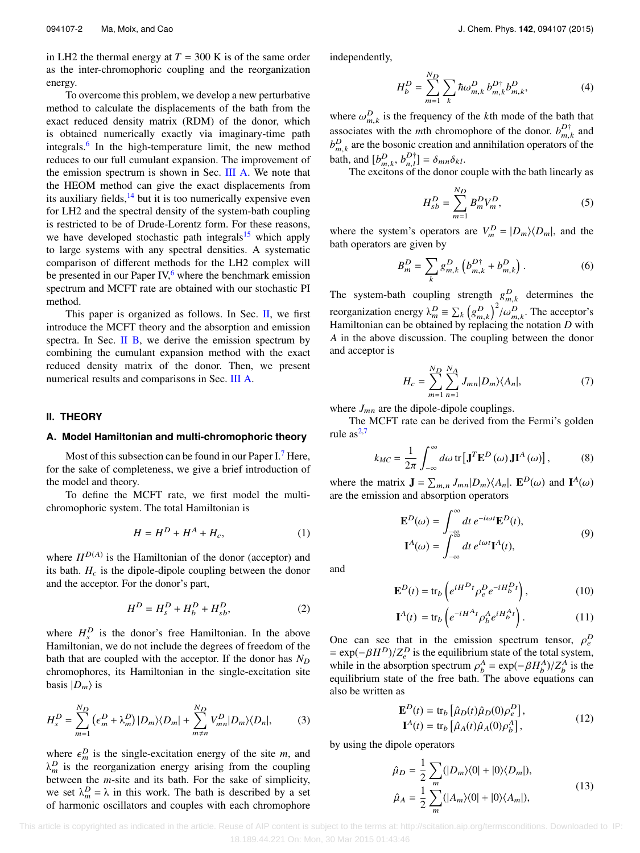in LH2 the thermal energy at  $T = 300$  K is of the same order as the inter-chromophoric coupling and the reorganization energy.

To overcome this problem, we develop a new perturbative method to calculate the displacements of the bath from the exact reduced density matrix (RDM) of the donor, which is obtained numerically exactly via imaginary-time path integrals.<sup>[6](#page-8-5)</sup> In the high-temperature limit, the new method reduces to our full cumulant expansion. The improvement of the emission spectrum is shown in Sec. [III A.](#page-5-0) We note that the HEOM method can give the exact displacements from its auxiliary fields, $14$  but it is too numerically expensive even for LH2 and the spectral density of the system-bath coupling is restricted to be of Drude-Lorentz form. For these reasons, we have developed stochastic path integrals<sup>[15](#page-8-12)</sup> which apply to large systems with any spectral densities. A systematic comparison of different methods for the LH2 complex will be presented in our Paper IV, $6$  where the benchmark emission spectrum and MCFT rate are obtained with our stochastic PI method.

This paper is organized as follows. In Sec. [II,](#page-2-0) we first introduce the MCFT theory and the absorption and emission spectra. In Sec. [II B,](#page-3-0) we derive the emission spectrum by combining the cumulant expansion method with the exact reduced density matrix of the donor. Then, we present numerical results and comparisons in Sec. [III A.](#page-5-0)

### <span id="page-2-0"></span>**II. THEORY**

### **A. Model Hamiltonian and multi-chromophoric theory**

Most of this subsection can be found in our Paper I.<sup>[7](#page-8-6)</sup> Here, for the sake of completeness, we give a brief introduction of the model and theory.

To define the MCFT rate, we first model the multichromophoric system. The total Hamiltonian is

$$
H = H^D + H^A + H_c, \tag{1}
$$

where  $H^{D(A)}$  is the Hamiltonian of the donor (acceptor) and its bath.  $H_c$  is the dipole-dipole coupling between the donor and the acceptor. For the donor's part,

$$
H^{D} = H_{s}^{D} + H_{b}^{D} + H_{sb}^{D},
$$
 (2)

where  $H_s^D$  is the donor's free Hamiltonian. In the above Hamiltonian, we do not include the degrees of freedom of the bath that are coupled with the acceptor. If the donor has  $N_D$ chromophores, its Hamiltonian in the single-excitation site basis  $|D_m\rangle$  is

$$
H_s^D = \sum_{m=1}^{N_D} \left( \epsilon_m^D + \lambda_m^D \right) |D_m\rangle \langle D_m| + \sum_{m \neq n}^{N_D} V_{mn}^D |D_m\rangle \langle D_n|, \tag{3}
$$

where  $\epsilon_m^D$  is the single-excitation energy of the site *m*, and  $\lambda^D$  is the reorganization energy arising from the coupling  $\lambda_m^D$  is the reorganization energy arising from the coupling between the *m*-site and its bath. For the sake of simplicity, we set  $\lambda_m^D = \lambda$  in this work. The bath is described by a set of harmonic oscillators and couples with each chromophore independently,

$$
H_b^D = \sum_{m=1}^{N_D} \sum_k \hbar \omega_{m,k}^D b_{m,k}^{D\dagger} b_{m,k}^D,
$$
 (4)

where  $\omega_{m,k}^D$  is the frequency of the *k*th mode of the bath that essessitive with the with chromathers of the dange  $h^{D^+}$  and associates with the *m*th chromophore of the donor.  $b_{m}^{D\dagger}$  and  $b_{m,k}^D$  are the bosonic creation and annihilation operators of the bath, and  $[b_m^D, b_m^D] = \delta_{mn}\delta_{kl}$ .<br>The excitons of the donor complete

and  $\left[\nu_{m,k}, \nu_{n,l}\right] = \nu_{mn} \nu_{kl}$ .<br>The excitons of the donor couple with the bath linearly as

$$
H_{sb}^D = \sum_{m=1}^{N_D} B_m^D V_m^D,
$$
 (5)

where the system's operators are  $V_m^D = |D_m\rangle\langle D_m|$ , and the bath operators are given by

$$
B_m^D = \sum_k g_{m,k}^D \left( b_{m,k}^{D\dagger} + b_{m,k}^D \right). \tag{6}
$$

The system-bath coupling strength  $g_{m,k}^D$  determines the  $m, k$ reorganization energy  $\lambda_m^D \equiv \sum_k \left( \frac{\lambda_m^2}{2} \right)$ ں<br>م D m,k  $\int_{m,k}^{2}$  / $\omega_{m,k}^{D}$ . The acceptor's Hamiltonian can be obtained by replacing the notation *D* with *A* in the above discussion. The coupling between the donor and acceptor is

$$
H_c = \sum_{m=1}^{N_D} \sum_{n=1}^{N_A} J_{mn} |D_m\rangle \langle A_n|, \tag{7}
$$

where  $J_{mn}$  are the dipole-dipole couplings.

The MCFT rate can be derived from the Fermi's golden rule  $as^{2,7}$  $as^{2,7}$  $as^{2,7}$  $as^{2,7}$ 

$$
k_{MC} = \frac{1}{2\pi} \int_{-\infty}^{\infty} d\omega \, \text{tr} \left[ \mathbf{J}^T \mathbf{E}^D \left( \omega \right) \mathbf{J} \mathbf{I}^A \left( \omega \right) \right],\tag{8}
$$

where the matrix  $\mathbf{J} = \sum_{m,n} J_{mn} |D_m\rangle\langle A_n|$ .  $\mathbf{E}^D(\omega)$  and  $\mathbf{I}^A(\omega)$ are the emission and absorption operators

$$
\mathbf{E}^{D}(\omega) = \int_{-\infty}^{\infty} dt \, e^{-i\omega t} \mathbf{E}^{D}(t),
$$
  

$$
\mathbf{I}^{A}(\omega) = \int_{-\infty}^{\infty} dt \, e^{i\omega t} \mathbf{I}^{A}(t),
$$
 (9)

and

<span id="page-2-2"></span>
$$
\mathbf{E}^{D}(t) = \text{tr}_{b} \left( e^{iH^{D}t} \rho_{e}^{D} e^{-iH_{b}^{D}t} \right), \qquad (10)
$$

$$
\mathbf{I}^{A}(t) = \text{tr}_{b} \left( e^{-iH^{A}t} \rho_{b}^{A} e^{iH^{A}_{b}t} \right). \tag{11}
$$

One can see that in the emission spectrum tensor,  $\rho$ <br>= exp(= $BHP$ )/ $Z^D$  is the equilibrium state of the total system D e  $= \exp(-\beta H^D)/Z_e^D$  is the equilibrium state of the total system,<br>while in the absorption spectrum  $\alpha^A = \exp(-\beta H^A)/Z_e^A$  is the while in the absorption spectrum  $\rho_b^A = \exp(-\beta H_b^A)/Z_b^A$  is the equilibrium state of the free bath. The above equations can equilibrium state of the free bath. The above equations can also be written as - $\overline{a}$ 

<span id="page-2-1"></span>
$$
\mathbf{E}^{D}(t) = \text{tr}_{b} \left[ \hat{\mu}_{D}(t) \hat{\mu}_{D}(0) \rho_{e}^{D} \right],
$$
  

$$
\mathbf{I}^{A}(t) = \text{tr}_{b} \left[ \hat{\mu}_{A}(t) \hat{\mu}_{A}(0) \rho_{b}^{A} \right],
$$
 (12)

by using the dipole operators

$$
\hat{\mu}_D = \frac{1}{2} \sum_m (|D_m\rangle\langle 0| + |0\rangle\langle D_m|),
$$
  

$$
\hat{\mu}_A = \frac{1}{2} \sum_m (|A_m\rangle\langle 0| + |0\rangle\langle A_m|),
$$
 (13)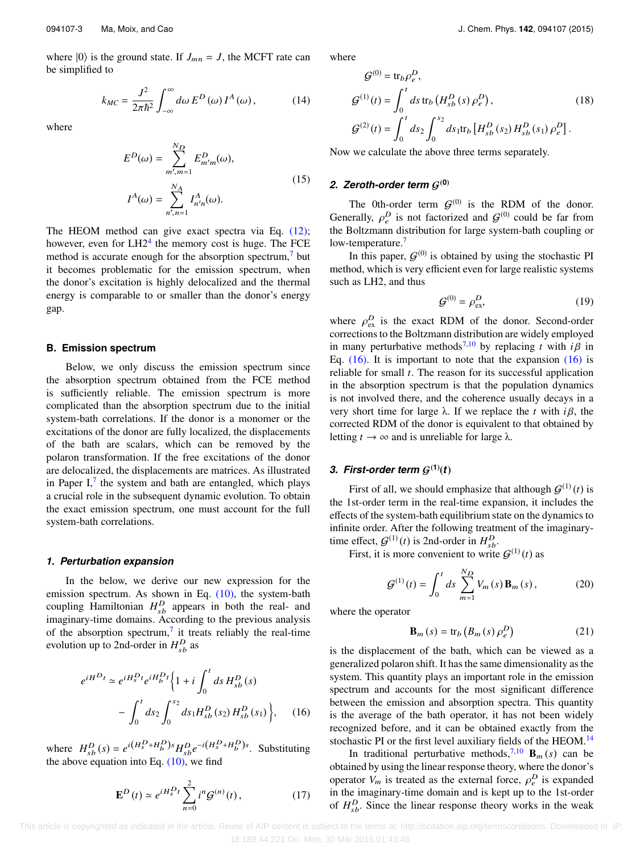where  $|0\rangle$  is the ground state. If  $J_{mn} = J$ , the MCFT rate can be simplified to

$$
k_{MC} = \frac{J^2}{2\pi\hbar^2} \int_{-\infty}^{\infty} d\omega \, E^D(\omega) \, I^A(\omega), \tag{14}
$$

where

$$
E^{D}(\omega) = \sum_{m',m=1}^{N_D} E^{D}_{m'm}(\omega),
$$
  

$$
I^{A}(\omega) = \sum_{n',n=1}^{N_A} I^{A}_{n'n}(\omega).
$$
 (15)

The HEOM method can give exact spectra via Eq. [\(12\);](#page-2-1) however, even for  $LH2<sup>4</sup>$  $LH2<sup>4</sup>$  $LH2<sup>4</sup>$  the memory cost is huge. The FCE method is accurate enough for the absorption spectrum,<sup>[7](#page-8-6)</sup> but it becomes problematic for the emission spectrum, when the donor's excitation is highly delocalized and the thermal energy is comparable to or smaller than the donor's energy gap.

### <span id="page-3-0"></span>**B. Emission spectrum**

Below, we only discuss the emission spectrum since the absorption spectrum obtained from the FCE method is sufficiently reliable. The emission spectrum is more complicated than the absorption spectrum due to the initial system-bath correlations. If the donor is a monomer or the excitations of the donor are fully localized, the displacements of the bath are scalars, which can be removed by the polaron transformation. If the free excitations of the donor are delocalized, the displacements are matrices. As illustrated in Paper I, $<sup>7</sup>$  $<sup>7</sup>$  $<sup>7</sup>$  the system and bath are entangled, which plays</sup> a crucial role in the subsequent dynamic evolution. To obtain the exact emission spectrum, one must account for the full system-bath correlations.

### *1. Perturbation expansion*

In the below, we derive our new expression for the emission spectrum. As shown in Eq.  $(10)$ , the system-bath coupling Hamiltonian  $H_{sb}^D$  appears in both the real- and imaginary-time domains. According to the previous analysis of the absorption spectrum,<sup>[7](#page-8-6)</sup> it treats reliably the real-time evolution up to 2nd-order in  $H_{sb}^D$  as

$$
e^{iH^{D}t} \simeq e^{iH_{s}^{D}t}e^{iH_{b}^{D}t} \Biggl\{ 1 + i \int_{0}^{t} ds H_{sb}^{D}(s)
$$

$$
- \int_{0}^{t} ds_{2} \int_{0}^{s_{2}} ds_{1}H_{sb}^{D}(s_{2}) H_{sb}^{D}(s_{1}) \Biggr\}, \quad (16)
$$

where  $H_{sb}^D(s) = e^{i(H_s^D + H_b^D)s} H_{sb}^D e^{-i(H_s^D + H_b^D)s}$ . Substituting the above equation into Eq.  $(10)$ , we find

$$
\mathbf{E}^{D}(t) \simeq e^{iH_{s}^{D}t} \sum_{n=0}^{2} i^{n} \mathcal{G}^{(n)}(t), \qquad (17)
$$

<span id="page-3-5"></span>where

$$
G^{(0)} = \text{tr}_b \rho_e^D,
$$
  
\n
$$
G^{(1)}(t) = \int_0^t ds \text{ tr}_b (H_{sb}^D(s) \rho_e^D),
$$
  
\n
$$
G^{(2)}(t) = \int_0^t ds_2 \int_0^{s_2} ds_1 \text{tr}_b [H_{sb}^D(s_2) H_{sb}^D(s_1) \rho_e^D].
$$
\n(18)

<span id="page-3-4"></span>Now we calculate the above three terms separately.

### 2. Zeroth-order term  $G^{(0)}$

The 0th-order term  $G^{(0)}$  is the RDM of the donor. Generally,  $\rho_e^D$  is not factorized and  $\mathcal{G}^{(0)}$  could be far from<br>the Boltzmann distribution for large system-bath counling or the Boltzmann distribution for large system-bath coupling or low-temperature.<sup>[7](#page-8-6)</sup>

In this paper,  $G^{(0)}$  is obtained by using the stochastic PI method, which is very efficient even for large realistic systems such as LH2, and thus

$$
\mathcal{G}^{(0)} = \rho_{\text{ex}}^D,\tag{19}
$$

where  $\rho_{ex}^{D}$  is the exact RDM of the donor. Second-order<br>corrections to the Boltzmann distribution are widely employed corrections to the Boltzmann distribution are widely employed in many perturbative methods<sup>[7,](#page-8-6)[10](#page-8-8)</sup> by replacing *t* with  $i\beta$  in Eq.  $(16)$ . It is important to note that the expansion  $(16)$  is reliable for small *t*. The reason for its successful application in the absorption spectrum is that the population dynamics is not involved there, and the coherence usually decays in a very short time for large <sup>λ</sup>. If we replace the *<sup>t</sup>* with *<sup>i</sup>* β, the corrected RDM of the donor is equivalent to that obtained by letting  $t \to \infty$  and is unreliable for large  $\lambda$ .

## 3. First-order term  $G^{(1)}(t)$

First of all, we should emphasize that although  $G^{(1)}(t)$  is the 1st-order term in the real-time expansion, it includes the effects of the system-bath equilibrium state on the dynamics to infinite order. After the following treatment of the imaginarytime effect,  $G^{(1)}(t)$  is 2nd-order in  $H_{sb}^D$ .

First, it is more convenient to write  $G^{(1)}(t)$  as

$$
\mathcal{G}^{(1)}(t) = \int_0^t ds \sum_{m=1}^{N_D} V_m(s) \mathbf{B}_m(s), \qquad (20)
$$

where the operator

<span id="page-3-2"></span>
$$
\mathbf{B}_{m}\left(s\right) = \text{tr}_{b}\left(B_{m}\left(s\right)\rho_{e}^{D}\right) \tag{21}
$$

is the displacement of the bath, which can be viewed as a generalized polaron shift. It has the same dimensionality as the system. This quantity plays an important role in the emission spectrum and accounts for the most significant difference between the emission and absorption spectra. This quantity is the average of the bath operator, it has not been widely recognized before, and it can be obtained exactly from the stochastic PI or the first level auxiliary fields of the HEOM.[14](#page-8-11)

<span id="page-3-3"></span><span id="page-3-1"></span>In traditional perturbative methods,<sup>[7,](#page-8-6)[10](#page-8-8)</sup>  $\mathbf{B}_m(s)$  can be obtained by using the linear response theory, where the donor's operator  $V_m$  is treated as the external force,  $\rho_e^D$  is expanded<br>in the imaginary-time domain and is kent up to the 1st-order in the imaginary-time domain and is kept up to the 1st-order of  $H_{sb}^D$ . Since the linear response theory works in the weak

 This article is copyrighted as indicated in the article. Reuse of AIP content is subject to the terms at: http://scitation.aip.org/termsconditions. Downloaded to IP: 18.189.44.221 On: Mon, 30 Mar 2015 01:43:46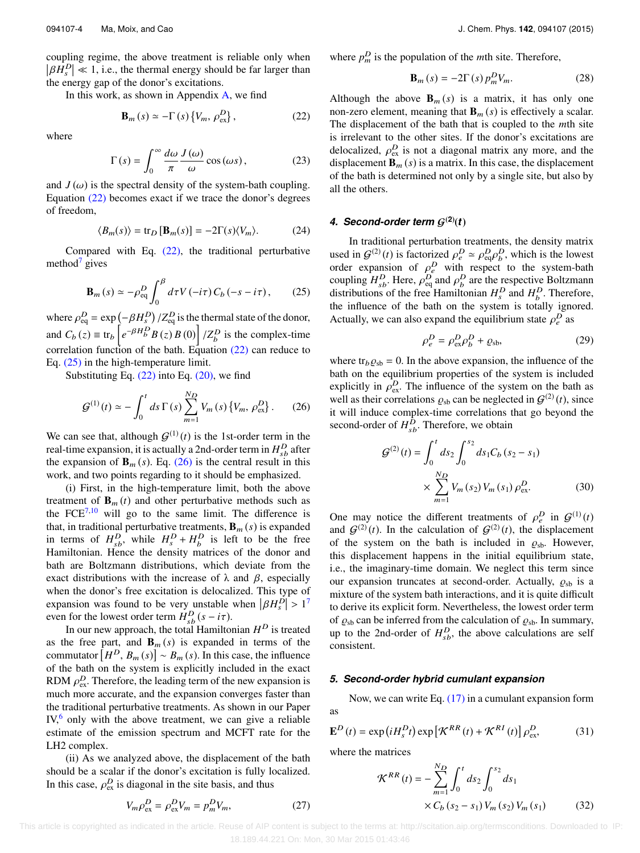coupling regime, the above treatment is reliable only when  $\beta H_s^D$   $\ll 1$ , i.e., the thermal energy should be far larger than the energy gap of the donor's excitations the energy gap of the donor's excitations.

In this work, as shown in Appendix [A,](#page-7-0) we find Ì,

$$
\mathbf{B}_{m}(s) \simeq -\Gamma\left(s\right)\left\{V_{m}, \rho_{\text{ex}}^{D}\right\},\tag{22}
$$

where

$$
\Gamma(s) = \int_0^\infty \frac{d\omega}{\pi} \frac{J(\omega)}{\omega} \cos(\omega s), \tag{23}
$$

and  $J(\omega)$  is the spectral density of the system-bath coupling.<br>Fourtion (22) becomes exact if we trace the donor's degrees Equation [\(22\)](#page-4-0) becomes exact if we trace the donor's degrees of freedom,

$$
\langle B_m(s) \rangle = \text{tr}_D \left[ \mathbf{B}_m(s) \right] = -2\Gamma(s)\langle V_m \rangle. \tag{24}
$$

Compared with Eq. [\(22\),](#page-4-0) the traditional perturbative method $\frac{1}{2}$  gives

$$
\mathbf{B}_{m}\left(s\right) \simeq -\rho_{\text{eq}}^{D} \int_{0}^{\beta} d\tau V\left(-i\tau\right) C_{b}\left(-s-i\tau\right),\qquad(25)
$$

where  $\rho_{eq}^D = \exp(-\beta H_s^D)$  $/Z_{\text{eq}}^D$  is the thermal state of the donor, and  $C_b(z) \equiv \text{tr}_b$ ৻  $e^{-\beta H_D^D} B(z) B(0)$  $\ddot{c}$  $Z_b^D$  is the complex-time correlation function of the bath. Equation [\(22\)](#page-4-0) can reduce to Eq. [\(25\)](#page-4-1) in the high-temperature limit.

Substituting Eq.  $(22)$  into Eq.  $(20)$ , we find

$$
\mathcal{G}^{(1)}(t) \simeq -\int_0^t ds \,\Gamma(s) \sum_{m=1}^{N_D} V_m(s) \{V_m, \rho_{\text{ex}}^D\} \,. \tag{26}
$$

We can see that, although  $G^{(1)}(t)$  is the 1st-order term in the real-time expansion, it is actually a 2nd-order term in  $H_{sb}^D$  after the expansion of  $\mathbf{B}_m(s)$ . Eq. [\(26\)](#page-4-2) is the central result in this work, and two points regarding to it should be emphasized.

(i) First, in the high-temperature limit, both the above treatment of  $\mathbf{B}_m(t)$  and other perturbative methods such as the  $FCE^{7,10}$  $FCE^{7,10}$  $FCE^{7,10}$  $FCE^{7,10}$  will go to the same limit. The difference is that, in traditional perturbative treatments,  $\mathbf{B}_m$  (*s*) is expanded in terms of  $H_{sb}^D$ , while  $H_s^D + H_b^D$  is left to be the free Hamiltonian. Hence the density matrices of the donor and bath are Boltzmann distributions, which deviate from the exact distributions with the increase of  $\lambda$  and  $\beta$ , especially when the donor's free excitation is delocalized. This type of when the donor's free excitation is delocalized. This type of expansion was found to be very unstable when  $|\beta H_s^D| > 1^7$  $|\beta H_s^D| > 1^7$ <br>even for the lowest order term  $H^D$  ( $s = i\tau$ ) even for the lowest order term  $H_{sb}^{D}(s - i\tau)$ .<br>In our new approach, the total Hamilton

In our new approach, the total Hamiltonian *H* <sup>D</sup> is treated as the free part, and  $\mathbf{B}_m(s)$  is expanded in terms of the as the free p<br>commutator [  $H^D$ ,  $B_m(s)$   $\sim$   $B_m(s)$ . In this case, the influence of the bath on the system is explicitly included in the exact RDM  $\rho_{\text{ex}}^D$ . Therefore, the leading term of the new expansion is<br>much more accurate, and the expansion converges faster than much more accurate, and the expansion converges faster than the traditional perturbative treatments. As shown in our Paper  $IV<sub>o</sub>$ <sup>[6](#page-8-5)</sup> only with the above treatment, we can give a reliable estimate of the emission spectrum and MCFT rate for the LH2 complex.

(ii) As we analyzed above, the displacement of the bath should be a scalar if the donor's excitation is fully localized. In this case,  $\rho_{\text{ex}}^D$  is diagonal in the site basis, and thus

$$
V_m \rho_{\rm ex}^D = \rho_{\rm ex}^D V_m = p_m^D V_m,\tag{27}
$$

where  $p_m^D$  is the population of the *m*th site. Therefore,

$$
\mathbf{B}_{m}\left(s\right) = -2\Gamma\left(s\right)p_{m}^{D}V_{m}.\tag{28}
$$

<span id="page-4-0"></span>Although the above  $\mathbf{B}_m(s)$  is a matrix, it has only one non-zero element, meaning that  $\mathbf{B}_m(s)$  is effectively a scalar. The displacement of the bath that is coupled to the *m*th site is irrelevant to the other sites. If the donor's excitations are delocalized,  $\rho_{ex}^{D}$  is not a diagonal matrix any more, and the displacement **R** (c) is a matrix. In this case, the displacement displacement  $\mathbf{B}_m$  (*s*) is a matrix. In this case, the displacement of the bath is determined not only by a single site, but also by all the others.

## *4. Second-order term* G(**2**) (*t*)

<span id="page-4-1"></span>In traditional perturbation treatments, the density matrix used in  $G^{(2)}(t)$  is factorized  $\rho_e^D \simeq \rho_{eq}^D \rho_b^D$ , which is the lowest<br>order expansion of  $\rho_e^D$  with respect to the system-bath order expansion of  $\rho_e^D$  with respect to the system-bath<br>counting  $H^D$  Here  $\rho_e^D$  and  $\rho_e^D$  are the respective Boltzmann coupling  $H_{sb}^D$ . Here,  $\rho_{eq}^D$  and  $\rho_{b}^D$  are the respective Boltzmann<br>distributions of the free Hamiltonian  $H^D$  and  $H^D$ . Therefore distributions of the free Hamiltonian  $H_s^D$  and  $H_b^D$ . Therefore, the influence of the bath on the system is totally ignored. Actually, we can also expand the equilibrium state  $\rho_e^D$  as

$$
\rho_e^D = \rho_{\rm ex}^D \rho_b^D + \varrho_{\rm sb},\tag{29}
$$

<span id="page-4-2"></span>where tr<sub>b</sub> $\rho_{sb} = 0$ . In the above expansion, the influence of the bath on the equilibrium properties of the system is included explicitly in  $\rho_{ex}^D$ . The influence of the system on the bath as well as their correlations  $\rho_1$  can be neglected in  $G^{(2)}(t)$  since well as their correlations  $\varrho_{sb}$  can be neglected in  $\mathcal{G}^{(2)}(t)$ , since<br>it will induce complex-time correlations that go beyond the it will induce complex-time correlations that go beyond the second-order of  $H_{sb}^D$ . Therefore, we obtain

$$
\mathcal{G}^{(2)}(t) = \int_0^t ds_2 \int_0^{s_2} ds_1 C_b (s_2 - s_1)
$$

$$
\times \sum_{m=1}^{N_D} V_m (s_2) V_m (s_1) \rho_{\text{ex}}^D.
$$
(30)

One may notice the different treatments of  $\rho_e^D$  in  $\mathcal{G}^{(1)}(t)$ <br>and  $\mathcal{G}^{(2)}(t)$ . In the calculation of  $\mathcal{G}^{(2)}(t)$ , the displacement and  $G^{(2)}(t)$ . In the calculation of  $G^{(2)}(t)$ , the displacement of the system on the bath is included in  $\rho_{sb}$ . However, this displacement happens in the initial equilibrium state, i.e., the imaginary-time domain. We neglect this term since our expansion truncates at second-order. Actually,  $\rho_{sh}$  is a mixture of the system bath interactions, and it is quite difficult to derive its explicit form. Nevertheless, the lowest order term of  $\varrho_{sb}$  can be inferred from the calculation of  $\varrho_{sb}$ . In summary, up to the 2nd-order of  $H_{sb}^D$ , the above calculations are self consistent.

#### *5. Second-order hybrid cumulant expansion*

Now, we can write Eq. [\(17\)](#page-3-3) in a cumulant expansion form as

$$
\mathbf{E}^{D}(t) = \exp\left(iH_{s}^{D}t\right)\exp\left[\mathcal{K}^{RR}(t) + \mathcal{K}^{RI}(t)\right]\rho_{\text{ex}}^{D},\tag{31}
$$

where the matrices

<span id="page-4-3"></span>
$$
\mathcal{K}^{RR}(t) = -\sum_{m=1}^{N_D} \int_0^t ds_2 \int_0^{s_2} ds_1
$$
  
× C<sub>b</sub> (s<sub>2</sub> - s<sub>1</sub>) V<sub>m</sub> (s<sub>2</sub>) V<sub>m</sub> (s<sub>1</sub>) (32)

 This article is copyrighted as indicated in the article. Reuse of AIP content is subject to the terms at: http://scitation.aip.org/termsconditions. Downloaded to IP: 18.189.44.221 On: Mon, 30 Mar 2015 01:43:46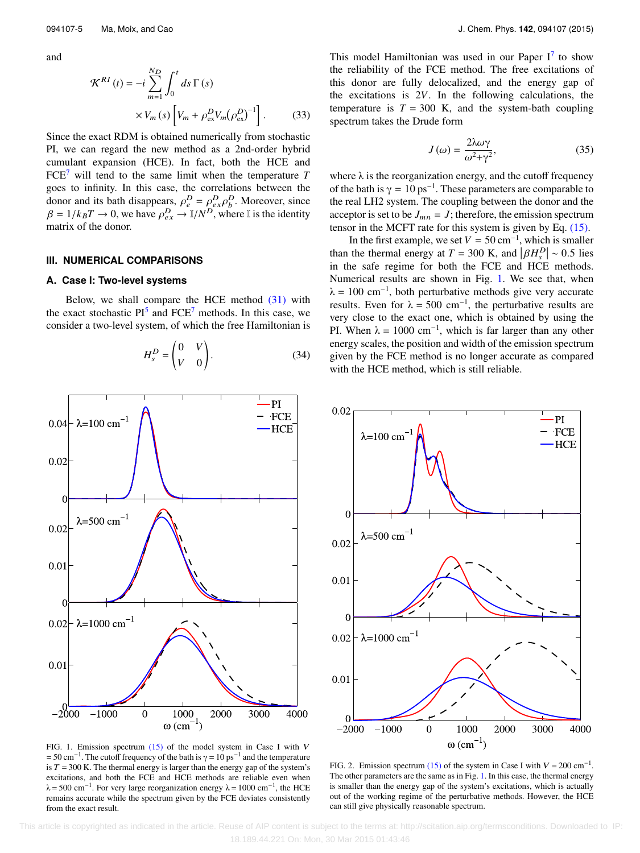and

$$
\mathcal{K}^{RI}(t) = -i \sum_{m=1}^{N_D} \int_0^t ds \Gamma(s)
$$

$$
\times V_m(s) \left[ V_m + \rho_{\text{ex}}^D V_m (\rho_{\text{ex}}^D)^{-1} \right]. \tag{33}
$$

Since the exact RDM is obtained numerically from stochastic PI, we can regard the new method as a 2nd-order hybrid cumulant expansion (HCE). In fact, both the HCE and  $FCE<sup>7</sup>$  $FCE<sup>7</sup>$  $FCE<sup>7</sup>$  will tend to the same limit when the temperature *T* goes to infinity. In this case, the correlations between the donor and its bath disappears,  $\rho_e^D = \rho_{ex}^D \rho_b^D$ . Moreover, since  $B = 1/k_B T \rightarrow 0$ , we have  $\rho_b^D \rightarrow \mathbb{I}/N^D$  where  $\mathbb{I}$  is the identity  $\beta = 1/k_B T \rightarrow 0$ , we have  $\rho_{ex}^D \rightarrow \mathbb{I}/N^D$ , where  $\mathbb{I}$  is the identity matrix of the donor matrix of the donor.

#### **III. NUMERICAL COMPARISONS**

#### <span id="page-5-0"></span>**A. Case I: Two-level systems**

Below, we shall compare the HCE method [\(31\)](#page-4-3) with the exact stochastic  $PI^5$  $PI^5$  and  $FCE^7$  $FCE^7$  methods. In this case, we consider a two-level system, of which the free Hamiltonian is

$$
H_s^D = \begin{pmatrix} 0 & V \\ V & 0 \end{pmatrix}.
$$
 (34)

<span id="page-5-1"></span>

FIG. 1. Emission spectrum  $(15)$  of the model system in Case I with V  $= 50 \text{ cm}^{-1}$ . The cutoff frequency of the bath is  $\gamma = 10 \text{ ps}^{-1}$  and the temperature is  $T = 300$  K. The thermal energy is larger than the energy gap of the system's excitations, and both the FCE and HCE methods are reliable even when  $\lambda$  = 500 cm<sup>-1</sup>. For very large reorganization energy  $\lambda$  = 1000 cm<sup>-1</sup>, the HCE remains accurate while the spectrum given by the FCE deviates consistently from the exact result.

This model Hamiltonian was used in our Paper  $I^7$  $I^7$  to show the reliability of the FCE method. The free excitations of this donor are fully delocalized, and the energy gap of the excitations is 2*V*. In the following calculations, the temperature is  $T = 300$  K, and the system-bath coupling spectrum takes the Drude form

<span id="page-5-3"></span>
$$
J(\omega) = \frac{2\lambda\omega\gamma}{\omega^2 + \gamma^2},\tag{35}
$$

where  $\lambda$  is the reorganization energy, and the cutoff frequency of the bath is  $\gamma = 10 \text{ ps}^{-1}$ . These parameters are comparable to the real LH2 system. The coupling between the donor and the acceptor is set to be  $J_{mn} = J$ ; therefore, the emission spectrum tensor in the MCFT rate for this system is given by Eq. [\(15\).](#page-3-4)

In the first example, we set  $V = 50 \text{ cm}^{-1}$ , which is smaller In the first example, we set  $V = 50 \text{ cm}^{-1}$ , which is smaller<br>than the thermal energy at  $T = 300 \text{ K}$ , and  $\left|\beta H_s^D\right| \sim 0.5$  lies<br>in the safe regime for both the ECE and HCE methods in the safe regime for both the FCE and HCE methods. Numerical results are shown in Fig. [1.](#page-5-1) We see that, when  $\lambda = 100$  cm<sup>-1</sup>, both perturbative methods give very accurate results. Even for  $\lambda = 500$  cm<sup>-1</sup>, the perturbative results are very close to the exact one, which is obtained by using the PI. When  $\lambda = 1000 \text{ cm}^{-1}$ , which is far larger than any other energy scales, the position and width of the emission spectrum given by the FCE method is no longer accurate as compared with the HCE method, which is still reliable.

<span id="page-5-2"></span>

FIG. 2. Emission spectrum [\(15\)](#page-3-4) of the system in Case I with  $V = 200 \text{ cm}^{-1}$ . The other parameters are the same as in Fig. [1.](#page-5-1) In this case, the thermal energy is smaller than the energy gap of the system's excitations, which is actually out of the working regime of the perturbative methods. However, the HCE can still give physically reasonable spectrum.

 This article is copyrighted as indicated in the article. Reuse of AIP content is subject to the terms at: http://scitation.aip.org/termsconditions. Downloaded to IP: 18.189.44.221 On: Mon, 30 Mar 2015 01:43:46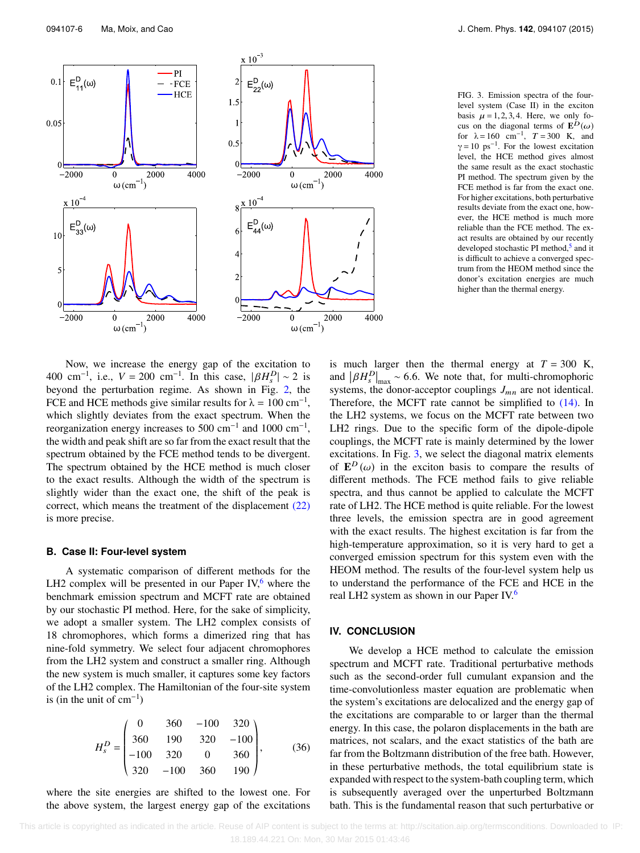<span id="page-6-0"></span>

FIG. 3. Emission spectra of the fourlevel system (Case II) in the exciton basis  $\mu = 1, 2, 3, 4$ . Here, we only focus on the diagonal terms of  $\mathbf{E}^{D}(\omega)$ <br>for  $\lambda = 160$  cm<sup>-1</sup>  $T = 300$  K and for  $\lambda = 160 \text{ cm}^{-1}$ ,  $T = 300 \text{ K}$ , and  $\gamma = 10 \text{ ps}^{-1}$ . For the lowest excitation level, the HCE method gives almost the same result as the exact stochastic PI method. The spectrum given by the FCE method is far from the exact one. For higher excitations, both perturbative results deviate from the exact one, however, the HCE method is much more reliable than the FCE method. The exact results are obtained by our recently developed stochastic PI method,<sup>[5](#page-8-4)</sup> and it is difficult to achieve a converged spectrum from the HEOM method since the donor's excitation energies are much higher than the thermal energy.

Now, we increase the energy gap of the excitation to 400 cm<sup>-1</sup>, i.e.,  $V = 200$  cm<sup>-1</sup>. In this case,  $|\beta H_s^D| \sim 2$  is<br>heyond the perturbation regime. As shown in Fig. 2, the beyond the perturbation regime. As shown in Fig. [2,](#page-5-2) the FCE and HCE methods give similar results for  $\lambda = 100 \text{ cm}^{-1}$ , which slightly deviates from the exact spectrum. When the reorganization energy increases to 500 cm<sup>-1</sup> and 1000 cm<sup>-1</sup>, the width and peak shift are so far from the exact result that the spectrum obtained by the FCE method tends to be divergent. The spectrum obtained by the HCE method is much closer to the exact results. Although the width of the spectrum is slightly wider than the exact one, the shift of the peak is correct, which means the treatment of the displacement [\(22\)](#page-4-0) is more precise.

### **B. Case II: Four-level system**

A systematic comparison of different methods for the LH2 complex will be presented in our Paper IV, $6$  where the benchmark emission spectrum and MCFT rate are obtained by our stochastic PI method. Here, for the sake of simplicity, we adopt a smaller system. The LH2 complex consists of 18 chromophores, which forms a dimerized ring that has nine-fold symmetry. We select four adjacent chromophores from the LH2 system and construct a smaller ring. Although the new system is much smaller, it captures some key factors of the LH2 complex. The Hamiltonian of the four-site system is (in the unit of  $cm^{-1}$ )

$$
H_s^D = \begin{pmatrix} 0 & 360 & -100 & 320 \\ 360 & 190 & 320 & -100 \\ -100 & 320 & 0 & 360 \\ 320 & -100 & 360 & 190 \end{pmatrix}, \qquad (36)
$$

where the site energies are shifted to the lowest one. For the above system, the largest energy gap of the excitations

is much larger then the thermal energy at  $T = 300$  K, is much larger then the thermal energy at  $T = 300$  K,<br>and  $\left|\beta H_s^D\right|_{\text{max}} \sim 6.6$ . We note that, for multi-chromophoric<br>systems the donor-accentor couplings I are not identical systems, the donor-acceptor couplings  $J_{mn}$  are not identical. Therefore, the MCFT rate cannot be simplified to  $(14)$ . In the LH2 systems, we focus on the MCFT rate between two LH2 rings. Due to the specific form of the dipole-dipole couplings, the MCFT rate is mainly determined by the lower excitations. In Fig. [3,](#page-6-0) we select the diagonal matrix elements of  $\mathbf{E}^{D}(\omega)$  in the exciton basis to compare the results of different methods. The ECE method fails to give reliable different methods. The FCE method fails to give reliable spectra, and thus cannot be applied to calculate the MCFT rate of LH2. The HCE method is quite reliable. For the lowest three levels, the emission spectra are in good agreement with the exact results. The highest excitation is far from the high-temperature approximation, so it is very hard to get a converged emission spectrum for this system even with the HEOM method. The results of the four-level system help us to understand the performance of the FCE and HCE in the real LH2 system as shown in our Paper IV.<sup>[6](#page-8-5)</sup>

### **IV. CONCLUSION**

We develop a HCE method to calculate the emission spectrum and MCFT rate. Traditional perturbative methods such as the second-order full cumulant expansion and the time-convolutionless master equation are problematic when the system's excitations are delocalized and the energy gap of the excitations are comparable to or larger than the thermal energy. In this case, the polaron displacements in the bath are matrices, not scalars, and the exact statistics of the bath are far from the Boltzmann distribution of the free bath. However, in these perturbative methods, the total equilibrium state is expanded with respect to the system-bath coupling term, which is subsequently averaged over the unperturbed Boltzmann bath. This is the fundamental reason that such perturbative or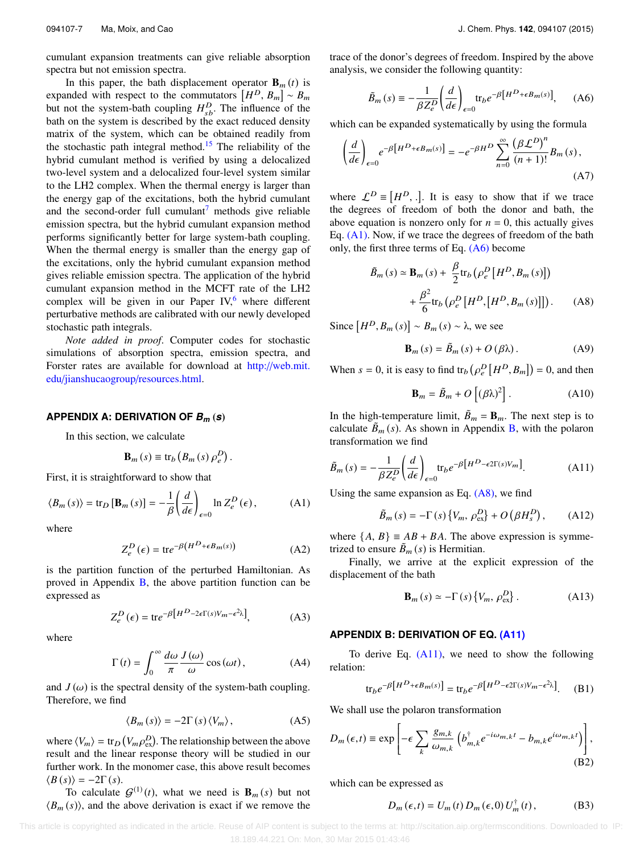cumulant expansion treatments can give reliable absorption spectra but not emission spectra.

In this paper, the bath displacement operator  $\mathbf{B}_m(t)$  is In this paper, the bath displacement oper<br>expanded with respect to the commutators  $\begin{bmatrix} \end{bmatrix}$  $[H^D, B_m] \sim B_m$ <br>pfluence of the but not the system-bath coupling  $H_{sb}^D$ . The influence of the bath on the system is described by the exact reduced density matrix of the system, which can be obtained readily from the stochastic path integral method.<sup>[15](#page-8-12)</sup> The reliability of the hybrid cumulant method is verified by using a delocalized two-level system and a delocalized four-level system similar to the LH2 complex. When the thermal energy is larger than the energy gap of the excitations, both the hybrid cumulant and the second-order full cumulant<sup>[7](#page-8-6)</sup> methods give reliable emission spectra, but the hybrid cumulant expansion method performs significantly better for large system-bath coupling. When the thermal energy is smaller than the energy gap of the excitations, only the hybrid cumulant expansion method gives reliable emission spectra. The application of the hybrid cumulant expansion method in the MCFT rate of the LH2 complex will be given in our Paper IV, $6$  where different perturbative methods are calibrated with our newly developed stochastic path integrals.

*Note added in proof*. Computer codes for stochastic simulations of absorption spectra, emission spectra, and Forster rates are available for download at [http:](http://web.mit.edu/jianshucaogroup/resources.html)[//](http://web.mit.edu/jianshucaogroup/resources.html)[web.mit.](http://web.mit.edu/jianshucaogroup/resources.html) [edu](http://web.mit.edu/jianshucaogroup/resources.html)[/](http://web.mit.edu/jianshucaogroup/resources.html)[jianshucaogroup](http://web.mit.edu/jianshucaogroup/resources.html)[/](http://web.mit.edu/jianshucaogroup/resources.html)[resources.html.](http://web.mit.edu/jianshucaogroup/resources.html)

### <span id="page-7-0"></span>**APPENDIX A: DERIVATION OF** *B<sup>m</sup>* (*s*)

In this section, we calculate

$$
\mathbf{B}_{m}\left(s\right)\equiv\mathrm{tr}_{b}\left(B_{m}\left(s\right)\rho_{e}^{D}\right).
$$

First, it is straightforward to show that

$$
\langle B_m(s) \rangle = \text{tr}_D \left[ \mathbf{B}_m(s) \right] = -\frac{1}{\beta} \left( \frac{d}{d\epsilon} \right)_{\epsilon=0} \ln Z_e^D(\epsilon), \tag{A1}
$$

where

$$
Z_e^D(\epsilon) = \text{tr}e^{-\beta\left(H^D + \epsilon B_m(s)\right)}\tag{A2}
$$

is the partition function of the perturbed Hamiltonian. As proved in Appendix  $\overline{B}$ , the above partition function can be expressed as

$$
Z_e^D(\epsilon) = \text{tr}e^{-\beta \left[H^D - 2\epsilon \Gamma(s)V_m - \epsilon^2 \lambda\right]},\tag{A3}
$$

where

$$
\Gamma(t) = \int_0^\infty \frac{d\omega}{\pi} \frac{J(\omega)}{\omega} \cos(\omega t), \tag{A4}
$$

and  $J(\omega)$  is the spectral density of the system-bath coupling.<br>Therefore, we find Therefore, we find

$$
\langle B_m(s) \rangle = -2\Gamma(s) \langle V_m \rangle, \tag{A5}
$$

where  $\langle V_m \rangle = \text{tr}_D$  (  $V_m \rho_{ex}^D$ ). The relationship between the above<br>expressions theory will be studied in our result and the linear response theory will be studied in our further work. In the monomer case, this above result becomes  $\langle B(s) \rangle = -2\Gamma(s)$ .

To calculate  $G^{(1)}(t)$ , what we need is  $\mathbf{B}_m(s)$  but not  $\langle B_m(s) \rangle$ , and the above derivation is exact if we remove the

trace of the donor's degrees of freedom. Inspired by the above analysis, we consider the following quantity:

<span id="page-7-3"></span>
$$
\tilde{B}_m(s) \equiv -\frac{1}{\beta Z_e^D} \left( \frac{d}{d\epsilon} \right)_{\epsilon=0} \text{tr}_b e^{-\beta \left[ H^D + \epsilon B_m(s) \right]}, \quad (A6)
$$

which can be expanded systematically by using the formula

$$
\left(\frac{d}{d\epsilon}\right)_{\epsilon=0}e^{-\beta\left[H^{D}+\epsilon B_{m}(s)\right]} = -e^{-\beta H^{D}}\sum_{n=0}^{\infty}\frac{\left(\beta\mathcal{L}^{D}\right)^{n}}{(n+1)!}B_{m}(s),\tag{A7}
$$

where  $\mathcal{L}^D$  =  $[H^D$ , . . It is easy to show that if we trace the degrees of freedom of both the donor and bath, the above equation is nonzero only for  $n = 0$ , this actually gives Eq. [\(A1\).](#page-7-2) Now, if we trace the degrees of freedom of the bath only, the first three terms of Eq.  $(A6)$  become

$$
\tilde{B}_m(s) \simeq \mathbf{B}_m(s) + \frac{\beta}{2} \text{tr}_b \left( \rho_e^D \left[ H^D, B_m(s) \right] \right)
$$

$$
+ \frac{\beta^2}{6} \text{tr}_b \left( \rho_e^D \left[ H^D, \left[ H^D, B_m(s) \right] \right] \right). \tag{A8}
$$

 $Since [$  $H^D$ ,  $B_m(s)$   $\sim$   $B_m(s)$   $\sim$   $\lambda$ , we see

<span id="page-7-4"></span>
$$
\mathbf{B}_{m}(s) = \tilde{B}_{m}(s) + O(\beta \lambda). \tag{A9}
$$

When  $s = 0$ , it is easy to find  $tr_b$ ρ D e  $[H^D, B_m]$  $= 0$ , and then

<span id="page-7-5"></span>
$$
\mathbf{B}_m = \tilde{B}_m + O\left[ (\beta \lambda)^2 \right]. \tag{A10}
$$

In the high-temperature limit,  $\tilde{B}_m = B_m$ . The next step is to calculate  $\tilde{B}_m(s)$ . As shown in Appendix [B,](#page-7-1) with the polaron transformation we find

$$
\tilde{B}_m(s) = -\frac{1}{\beta Z_e^D} \left( \frac{d}{d\epsilon} \right)_{\epsilon=0} \text{tr}_b e^{-\beta \left[ H^D - \epsilon 2\Gamma(s)V_m \right]}.
$$
 (A11)

<span id="page-7-2"></span>Using the same expansion as Eq. [\(A8\),](#page-7-4) we find

$$
\tilde{B}_m(s) = -\Gamma(s) \left\{ V_m, \, \rho_{\text{ex}}^D \right\} + O\left(\beta H_s^D\right),\qquad(A12)
$$

where  $\{A, B\} \equiv AB + BA$ . The above expression is symmetrized to ensure  $\tilde{B}_m$  (*s*) is Hermitian.

Finally, we arrive at the explicit expression of the displacement of the bath

$$
\mathbf{B}_{m}(s) \simeq -\Gamma(s) \left\{ V_{m}, \rho_{\text{ex}}^{D} \right\}. \tag{A13}
$$

### <span id="page-7-1"></span>**APPENDIX B: DERIVATION OF EQ. [\(A11\)](#page-7-5)**

To derive Eq. [\(A11\),](#page-7-5) we need to show the following relation:

$$
\text{tr}_{b}e^{-\beta\left[H^{D}+\epsilon B_{m}(s)\right]} = \text{tr}_{b}e^{-\beta\left[H^{D}-\epsilon 2\Gamma(s)V_{m}-\epsilon^{2}\lambda\right]}.
$$
 (B1)

We shall use the polaron transformation

$$
D_{m}(\epsilon, t) \equiv \exp \left[ -\epsilon \sum_{k} \frac{g_{m,k}}{\omega_{m,k}} \left( b_{m,k}^{\dagger} e^{-i\omega_{m,k}t} - b_{m,k} e^{i\omega_{m,k}t} \right) \right],
$$
\n(B2)

which can be expressed as

$$
D_m(\epsilon, t) = U_m(t) D_m(\epsilon, 0) U_m^{\dagger}(t), \qquad (B3)
$$